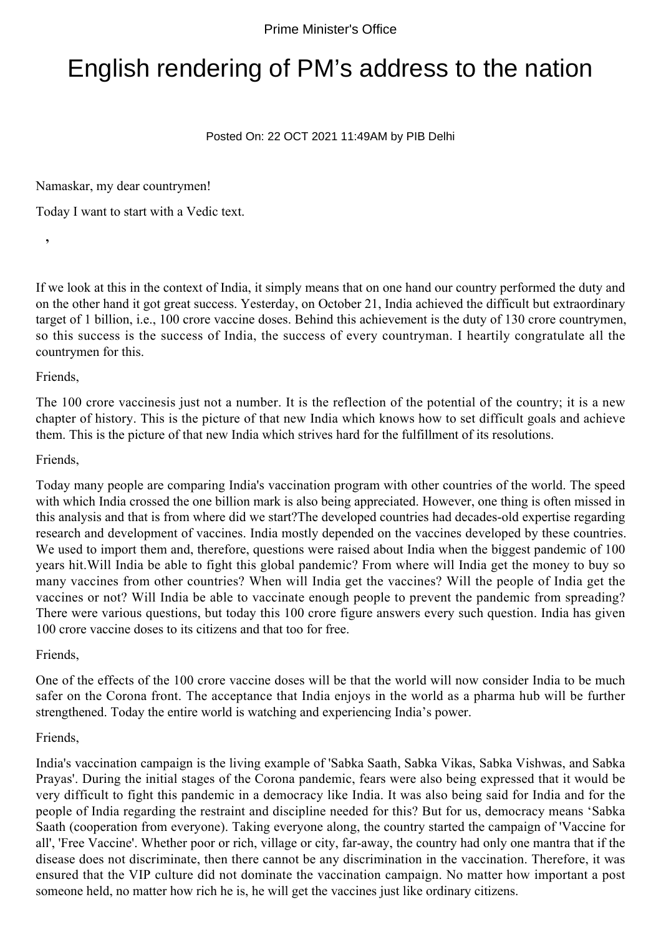# English rendering of PM's address to the nation

#### Posted On: 22 OCT 2021 11:49AM by PIB Delhi

Namaskar, my dear countrymen!

Today I want to start with a Vedic text.

If we look at this in the context of India, it simply means that on one hand our country performed the duty and on the other hand it got great success. Yesterday, on October 21, India achieved the difficult but extraordinary target of 1 billion, i.e., 100 crore vaccine doses. Behind this achievement is the duty of 130 crore countrymen, so this success is the success of India, the success of every countryman. I heartily congratulate all the countrymen for this.

Friends,

 **,**

The 100 crore vaccinesis just not a number. It is the reflection of the potential of the country; it is a new chapter of history. This is the picture of that new India which knows how to set difficult goals and achieve them. This is the picture of that new India which strives hard for the fulfillment of its resolutions.

### Friends,

Today many people are comparing India's vaccination program with other countries of the world. The speed with which India crossed the one billion mark is also being appreciated. However, one thing is often missed in this analysis and that is from where did we start?The developed countries had decades-old expertise regarding research and development of vaccines. India mostly depended on the vaccines developed by these countries. We used to import them and, therefore, questions were raised about India when the biggest pandemic of 100 years hit.Will India be able to fight this global pandemic? From where will India get the money to buy so many vaccines from other countries? When will India get the vaccines? Will the people of India get the vaccines or not? Will India be able to vaccinate enough people to prevent the pandemic from spreading? There were various questions, but today this 100 crore figure answers every such question. India has given 100 crore vaccine doses to its citizens and that too for free.

Friends,

One of the effects of the 100 crore vaccine doses will be that the world will now consider India to be much safer on the Corona front. The acceptance that India enjoys in the world as a pharma hub will be further strengthened. Today the entire world is watching and experiencing India's power.

#### Friends,

India's vaccination campaign is the living example of 'Sabka Saath, Sabka Vikas, Sabka Vishwas, and Sabka Prayas'. During the initial stages of the Corona pandemic, fears were also being expressed that it would be very difficult to fight this pandemic in a democracy like India. It was also being said for India and for the people of India regarding the restraint and discipline needed for this? But for us, democracy means 'Sabka Saath (cooperation from everyone). Taking everyone along, the country started the campaign of 'Vaccine for all', 'Free Vaccine'. Whether poor or rich, village or city, far-away, the country had only one mantra that if the disease does not discriminate, then there cannot be any discrimination in the vaccination. Therefore, it was ensured that the VIP culture did not dominate the vaccination campaign. No matter how important a post someone held, no matter how rich he is, he will get the vaccines just like ordinary citizens.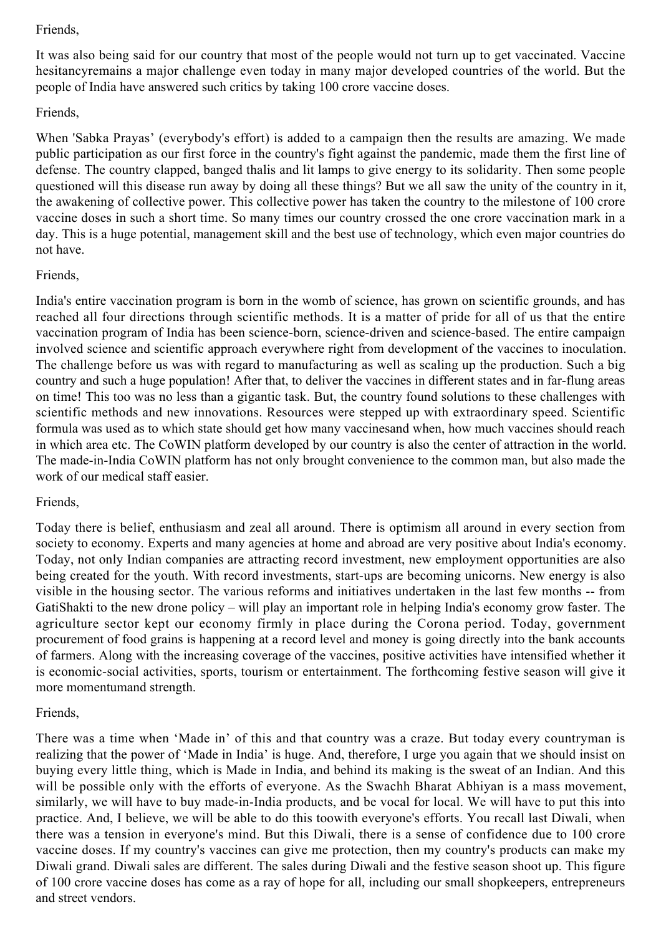### Friends,

It was also being said for our country that most of the people would not turn up to get vaccinated. Vaccine hesitancyremains a major challenge even today in many major developed countries of the world. But the people of India have answered such critics by taking 100 crore vaccine doses.

# Friends,

When 'Sabka Prayas' (everybody's effort) is added to a campaign then the results are amazing. We made public participation as our first force in the country's fight against the pandemic, made them the first line of defense. The country clapped, banged thalis and lit lamps to give energy to its solidarity. Then some people questioned will this disease run away by doing all these things? But we all saw the unity of the country in it, the awakening of collective power. This collective power has taken the country to the milestone of 100 crore vaccine doses in such a short time. So many times our country crossed the one crore vaccination mark in a day. This is a huge potential, management skill and the best use of technology, which even major countries do not have.

# Friends,

India's entire vaccination program is born in the womb of science, has grown on scientific grounds, and has reached all four directions through scientific methods. It is a matter of pride for all of us that the entire vaccination program of India has been science-born, science-driven and science-based. The entire campaign involved science and scientific approach everywhere right from development of the vaccines to inoculation. The challenge before us was with regard to manufacturing as well as scaling up the production. Such a big country and such a huge population! After that, to deliver the vaccines in different states and in far-flung areas on time! This too was no less than a gigantic task. But, the country found solutions to these challenges with scientific methods and new innovations. Resources were stepped up with extraordinary speed. Scientific formula was used as to which state should get how many vaccinesand when, how much vaccines should reach in which area etc. The CoWIN platform developed by our country is also the center of attraction in the world. The made-in-India CoWIN platform has not only brought convenience to the common man, but also made the work of our medical staff easier.

# Friends,

Today there is belief, enthusiasm and zeal all around. There is optimism all around in every section from society to economy. Experts and many agencies at home and abroad are very positive about India's economy. Today, not only Indian companies are attracting record investment, new employment opportunities are also being created for the youth. With record investments, start-ups are becoming unicorns. New energy is also visible in the housing sector. The various reforms and initiatives undertaken in the last few months -- from GatiShakti to the new drone policy – will play an important role in helping India's economy grow faster. The agriculture sector kept our economy firmly in place during the Corona period. Today, government procurement of food grains is happening at a record level and money is going directly into the bank accounts of farmers. Along with the increasing coverage of the vaccines, positive activities have intensified whether it is economic-social activities, sports, tourism or entertainment. The forthcoming festive season will give it more momentumand strength.

# Friends,

There was a time when 'Made in' of this and that country was a craze. But today every countryman is realizing that the power of 'Made in India' is huge. And, therefore, I urge you again that we should insist on buying every little thing, which is Made in India, and behind its making is the sweat of an Indian. And this will be possible only with the efforts of everyone. As the Swachh Bharat Abhiyan is a mass movement, similarly, we will have to buy made-in-India products, and be vocal for local. We will have to put this into practice. And, I believe, we will be able to do this toowith everyone's efforts. You recall last Diwali, when there was a tension in everyone's mind. But this Diwali, there is a sense of confidence due to 100 crore vaccine doses. If my country's vaccines can give me protection, then my country's products can make my Diwali grand. Diwali sales are different. The sales during Diwali and the festive season shoot up. This figure of 100 crore vaccine doses has come as a ray of hope for all, including our small shopkeepers, entrepreneurs and street vendors.